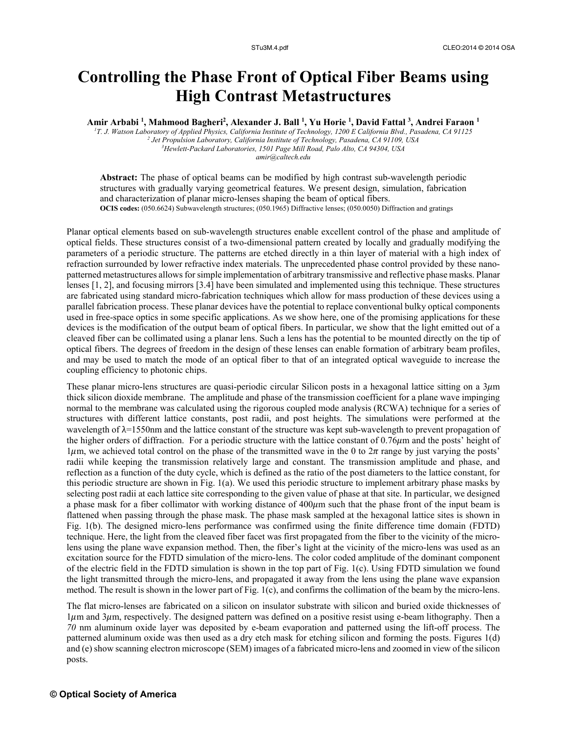## **Controlling the Phase Front of Optical Fiber Beams using High Contrast Metastructures**

**Amir Arbabi 1 , Mahmood Bagheri2 , Alexander J. Ball 1 , Yu Horie 1 , David Fattal 3 , Andrei Faraon 1**

*1 T. J. Watson Laboratory of Applied Physics, California Institute of Technology, 1200 E California Blvd., Pasadena, CA 91125 2* <sup>2</sup> Jet Propulsion Laboratory, California Institute of Technology, Pasadena, CA 91109, USA *Hewlett-Packard Laboratories, 1501 Page Mill Road, Palo Alto, CA 94304, USA amir@caltech.edu* 

**Abstract:** The phase of optical beams can be modified by high contrast sub-wavelength periodic structures with gradually varying geometrical features. We present design, simulation, fabrication and characterization of planar micro-lenses shaping the beam of optical fibers. **OCIS codes:** (050.6624) Subwavelength structures; (050.1965) Diffractive lenses; (050.0050) Diffraction and gratings

Planar optical elements based on sub-wavelength structures enable excellent control of the phase and amplitude of optical fields. These structures consist of a two-dimensional pattern created by locally and gradually modifying the parameters of a periodic structure. The patterns are etched directly in a thin layer of material with a high index of refraction surrounded by lower refractive index materials. The unprecedented phase control provided by these nanopatterned metastructures allows for simple implementation of arbitrary transmissive and reflective phase masks. Planar lenses [1, 2], and focusing mirrors [3.4] have been simulated and implemented using this technique. These structures are fabricated using standard micro-fabrication techniques which allow for mass production of these devices using a parallel fabrication process. These planar devices have the potential to replace conventional bulky optical components used in free-space optics in some specific applications. As we show here, one of the promising applications for these devices is the modification of the output beam of optical fibers. In particular, we show that the light emitted out of a cleaved fiber can be collimated using a planar lens. Such a lens has the potential to be mounted directly on the tip of optical fibers. The degrees of freedom in the design of these lenses can enable formation of arbitrary beam profiles, and may be used to match the mode of an optical fiber to that of an integrated optical waveguide to increase the coupling efficiency to photonic chips.

These planar micro-lens structures are quasi-periodic circular Silicon posts in a hexagonal lattice sitting on a  $3\mu$ m thick silicon dioxide membrane. The amplitude and phase of the transmission coefficient for a plane wave impinging normal to the membrane was calculated using the rigorous coupled mode analysis (RCWA) technique for a series of structures with different lattice constants, post radii, and post heights. The simulations were performed at the wavelength of λ=1550nm and the lattice constant of the structure was kept sub-wavelength to prevent propagation of the higher orders of diffraction. For a periodic structure with the lattice constant of  $0.76\mu$ m and the posts' height of  $1\mu$ m, we achieved total control on the phase of the transmitted wave in the 0 to  $2\pi$  range by just varying the posts' radii while keeping the transmission relatively large and constant. The transmission amplitude and phase, and reflection as a function of the duty cycle, which is defined as the ratio of the post diameters to the lattice constant, for this periodic structure are shown in Fig. 1(a). We used this periodic structure to implement arbitrary phase masks by selecting post radii at each lattice site corresponding to the given value of phase at that site. In particular, we designed a phase mask for a fiber collimator with working distance of  $400\mu$ m such that the phase front of the input beam is flattened when passing through the phase mask. The phase mask sampled at the hexagonal lattice sites is shown in Fig. 1(b). The designed micro-lens performance was confirmed using the finite difference time domain (FDTD) technique. Here, the light from the cleaved fiber facet was first propagated from the fiber to the vicinity of the microlens using the plane wave expansion method. Then, the fiber's light at the vicinity of the micro-lens was used as an excitation source for the FDTD simulation of the micro-lens. The color coded amplitude of the dominant component of the electric field in the FDTD simulation is shown in the top part of Fig. 1(c). Using FDTD simulation we found the light transmitted through the micro-lens, and propagated it away from the lens using the plane wave expansion method. The result is shown in the lower part of Fig. 1(c), and confirms the collimation of the beam by the micro-lens.

The flat micro-lenses are fabricated on a silicon on insulator substrate with silicon and buried oxide thicknesses of  $1\mu$ m and  $3\mu$ m, respectively. The designed pattern was defined on a positive resist using e-beam lithography. Then a *70* nm aluminum oxide layer was deposited by e-beam evaporation and patterned using the lift-off process. The patterned aluminum oxide was then used as a dry etch mask for etching silicon and forming the posts. Figures 1(d) and (e) show scanning electron microscope (SEM) images of a fabricated micro-lens and zoomed in view of the silicon posts.